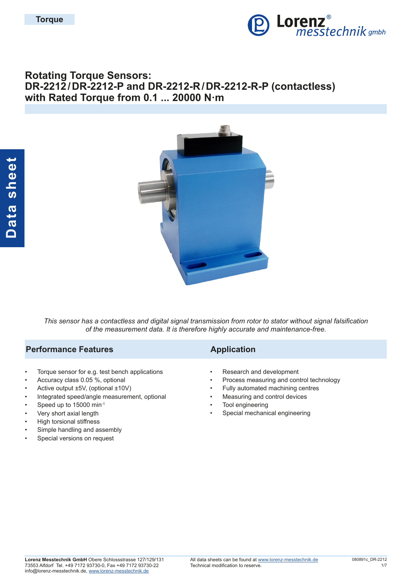

# **Rotating Torque Sensors: DR-2212/DR-2212-P and DR-2212-R/DR-2212-R-P (contactless) with Rated Torque from 0.1 ... 20000 N·m**



*This sensor has a contactless and digital signal transmission from rotor to stator without signal falsification of the measurement data. It is therefore highly accurate and maintenance-free.*

## **Performance Features Application**

- Torque sensor for e.g. test bench applications
- Accuracy class 0.05 %, optional
- Active output ±5V, (optional ±10V)
- Integrated speed/angle measurement, optional
- Speed up to 15000 min-1
- Very short axial length
- High torsional stiffness
- Simple handling and assembly
- Special versions on request

- Research and development
- Process measuring and control technology
- Fully automated machining centres
- Measuring and control devices
- Tool engineering
- Special mechanical engineering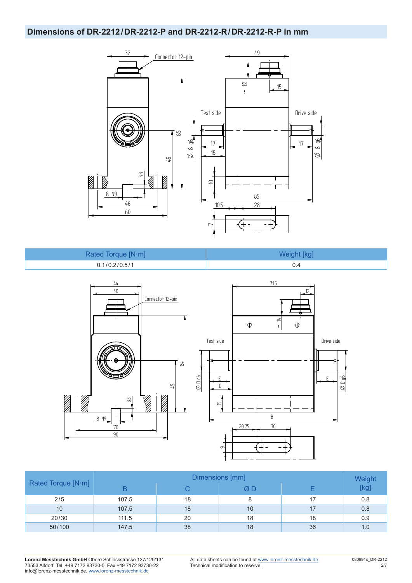### **Dimensions of DR-2212/DR-2212-P and DR-2212-R/DR-2212-R-P in mm**



| Rated Torque [N·m] | Weight [kg] |
|--------------------|-------------|
| 0.1/0.2/0.5/1      | 0.4         |



|                    | Dimensions [mm] |    |    |    |                |  |  |  |  |
|--------------------|-----------------|----|----|----|----------------|--|--|--|--|
| Rated Torque [N·m] | B               |    | ØD |    | Weight<br>[kg] |  |  |  |  |
| 2/5                | 107.5           | 18 |    | 17 | 0.8            |  |  |  |  |
| 10                 | 107.5           | 18 | 10 | 17 | 0.8            |  |  |  |  |
| 20/30              | 111.5           | 20 | 18 | 18 | 0.9            |  |  |  |  |
| 50/100             | 147.5           | 38 | 18 | 36 | 1.0            |  |  |  |  |

**Lorenz Messtechnik GmbH** Obere Schlossstrasse 127/129/131 73553 Alfdorf Tel. +49 7172 93730-0, Fax +49 7172 93730-22 info@lorenz-messtechnik.de, [www.lorenz-messtechnik.de](https://www.lorenz-messtechnik.de)

All data sheets can be found at [www.lorenz-messtechnik.de](https://www.lorenz-messtechnik.de) Technical modification to reserve.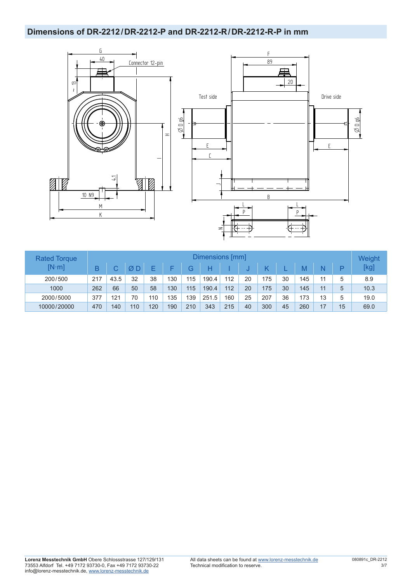# **Dimensions of DR-2212/DR-2212-P and DR-2212-R/DR-2212-R-P in mm**



| <b>Rated Torque</b> |     |      |     |     |     |     | Dimensions [mm] |     |    |     |    |     |    |    | Weight |
|---------------------|-----|------|-----|-----|-----|-----|-----------------|-----|----|-----|----|-----|----|----|--------|
| $[N \cdot m]$       | В   |      | ØΕ  | ᄃ   |     | G   | H               |     |    |     |    | M   | N  |    | [kg]   |
| 200/500             | 217 | 43.5 | 32  | 38  | 130 | 115 | 190.4           | 112 | 20 | 175 | 30 | 145 | 11 | 5  | 8.9    |
| 1000                | 262 | 66   | 50  | 58  | 130 | 115 | 190.4           | 112 | 20 | 175 | 30 | 145 | 11 | 5  | 10.3   |
| 2000/5000           | 377 | 121  | 70  | 110 | 135 | 139 | 251.5           | 160 | 25 | 207 | 36 | 173 | 13 | 5  | 19.0   |
| 10000/20000         | 470 | 140  | 110 | 120 | 190 | 210 | 343             | 215 | 40 | 300 | 45 | 260 | 17 | 15 | 69.0   |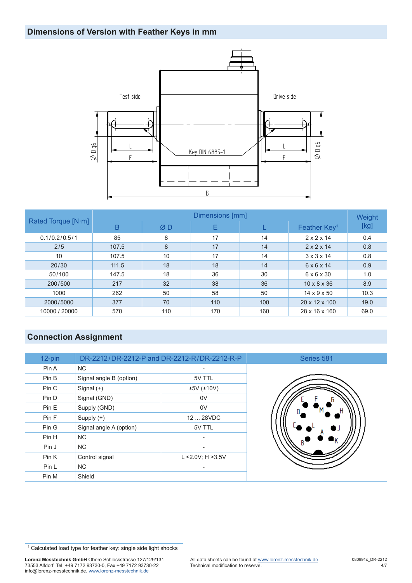

|                    | Dimensions [mm] |     |     |     |                          |      |  |  |  |  |
|--------------------|-----------------|-----|-----|-----|--------------------------|------|--|--|--|--|
| Rated Torque [N·m] | B               | ØD  | Е   |     | Feather Key <sup>1</sup> | [kg] |  |  |  |  |
| 0.1/0.2/0.5/1      | 85              | 8   | 17  | 14  | $2 \times 2 \times 14$   | 0.4  |  |  |  |  |
| 2/5                | 107.5           | 8   | 17  | 14  | $2 \times 2 \times 14$   | 0.8  |  |  |  |  |
| 10                 | 107.5           | 10  | 17  | 14  | $3 \times 3 \times 14$   | 0.8  |  |  |  |  |
| 20/30              | 111.5           | 18  | 18  | 14  | $6 \times 6 \times 14$   | 0.9  |  |  |  |  |
| 50/100             | 147.5           | 18  | 36  | 30  | $6 \times 6 \times 30$   | 1.0  |  |  |  |  |
| 200/500            | 217             | 32  | 38  | 36  | $10 \times 8 \times 36$  | 8.9  |  |  |  |  |
| 1000               | 262             | 50  | 58  | 50  | $14 \times 9 \times 50$  | 10.3 |  |  |  |  |
| 2000/5000          | 377             | 70  | 110 | 100 | 20 x 12 x 100            | 19.0 |  |  |  |  |
| 10000 / 20000      | 570             | 110 | 170 | 160 | 28 x 16 x 160            | 69.0 |  |  |  |  |

# **Connection Assignment**

| 12-pin |                         | DR-2212/DR-2212-P and DR-2212-R/DR-2212-R-P | Series 581 |
|--------|-------------------------|---------------------------------------------|------------|
| Pin A  | NC.                     |                                             |            |
| Pin B  | Signal angle B (option) | 5V TTL                                      |            |
| Pin C  | Signal $(+)$            | ±5V (±10V)                                  |            |
| Pin D  | Signal (GND)            | 0V                                          |            |
| Pin E  | Supply (GND)            | 0V                                          |            |
| Pin F  | Supply $(+)$            | 12  28VDC                                   |            |
| Pin G  | Signal angle A (option) | 5V TTL                                      |            |
| Pin H  | NC.                     | $\overline{\phantom{a}}$                    |            |
| Pin J  | NC.                     |                                             |            |
| Pin K  | Control signal          | L < $2.0V$ ; H > $3.5V$                     |            |
| Pin L  | <b>NC</b>               |                                             |            |
| Pin M  | Shield                  |                                             |            |

<sup>&</sup>lt;sup>1</sup> Calculated load type for feather key: single side light shocks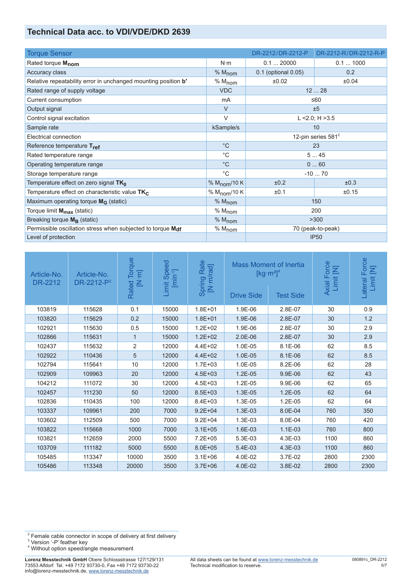## **Technical Data acc. to VDI/VDE/DKD 2639**

| <b>Torque Sensor</b>                                           |                          | DR-2212/DR-2212-P     | DR-2212-R/DR-2212-R-P |  |  |
|----------------------------------------------------------------|--------------------------|-----------------------|-----------------------|--|--|
| Rated torque M <sub>nom</sub>                                  | $N \cdot m$              | 0.120000              | 0.11000               |  |  |
| Accuracy class                                                 | % M <sub>nom</sub>       | 0.1 (optional 0.05)   | 0.2                   |  |  |
| Relative repeatability error in unchanged mounting position b' | $% M_{nom}$              | ±0.02                 | ±0.04                 |  |  |
| Rated range of supply voltage                                  | <b>VDC</b>               |                       | 1228                  |  |  |
| Current consumption                                            | m <sub>A</sub>           |                       | $≤60$                 |  |  |
| Output signal                                                  | $\vee$                   |                       | ±5                    |  |  |
| Control signal excitation                                      | V                        |                       | L <2.0; H >3.5        |  |  |
| Sample rate                                                    | kSample/s                | 10                    |                       |  |  |
| Electrical connection                                          |                          | 12-pin series $581^2$ |                       |  |  |
| Reference temperature Tref                                     | $^{\circ}C$              | 23                    |                       |  |  |
| Rated temperature range                                        | $^{\circ}C$              | 545                   |                       |  |  |
| Operating temperature range                                    | $^{\circ}C$              |                       | 060                   |  |  |
| Storage temperature range                                      | $^{\circ}C$              |                       | $-1070$               |  |  |
| Temperature effect on zero signal $TK_0$                       | % $M_{\text{nom}}$ /10 K | ±0.2                  | ±0.3                  |  |  |
| Temperature effect on characteristic value $TK_C$              | % $M_{\text{nom}}$ /10 K | ±0.1                  | ±0.15                 |  |  |
| Maximum operating torque M <sub>G</sub> (static)               | % M <sub>nom</sub>       | 150                   |                       |  |  |
| Torque limit M <sub>max</sub> (static)                         | $% M_{nom}$              | 200                   |                       |  |  |
| Breaking torque $M_B$ (static)                                 | % M <sub>nom</sub>       | >300                  |                       |  |  |
| Permissible oscillation stress when subjected to torque Mdf    | % M <sub>nom</sub>       | 70 (peak-to-peak)     |                       |  |  |
| Level of protection                                            |                          | <b>IP50</b>           |                       |  |  |

| Article-No.<br>DR-2212 | Article-No.<br>DR-2212-P <sup>3</sup> | Torque<br>$[N \cdot m]$<br>Rated | nit Speed<br>[min <sup>-1</sup> ]<br>Limit | Spring Rate<br>[N·m/rad] | <b>Mass Moment of Inertia</b><br>$\left[\text{kg}\cdot\text{m}^2\right]^4$<br><b>Drive Side</b><br><b>Test Side</b> |           | Axial Force<br>Limit [N] | Force<br>Limit [N]<br>Lateral |
|------------------------|---------------------------------------|----------------------------------|--------------------------------------------|--------------------------|---------------------------------------------------------------------------------------------------------------------|-----------|--------------------------|-------------------------------|
| 103819                 | 115628                                | 0.1                              | 15000                                      | $1.8E + 01$              | 1.9E-06                                                                                                             | 2.8E-07   | 30                       | 0.9                           |
| 103820                 | 115629                                | 0.2                              | 15000                                      | $1.8E + 01$              | 1.9E-06                                                                                                             | 2.8E-07   | 30                       | 1.2                           |
| 102921                 | 115630                                | 0.5                              | 15000                                      | $1.2E + 02$              | 1.9E-06                                                                                                             | 2.8E-07   | 30                       | 2.9                           |
| 102866                 | 115631                                | $\mathbf 1$                      | 15000                                      | $1.2E + 02$              | $2.0E-06$                                                                                                           | 2.8E-07   | 30                       | 2.9                           |
| 102437                 | 115632                                | 2                                | 12000                                      | $4.4E + 02$              | 1.0E-05                                                                                                             | $8.1E-06$ | 62                       | 8.5                           |
| 102922                 | 110436                                | 5                                | 12000                                      | $4.4E + 02$              | 1.0E-05                                                                                                             | 8.1E-06   | 62                       | 8.5                           |
| 102794                 | 115641                                | 10                               | 12000                                      | $1.7E + 03$              | 1.0E-05                                                                                                             | $8.2E-06$ | 62                       | 28                            |
| 102909                 | 109963                                | 20                               | 12000                                      | $4.5E + 03$              | $1.2E-05$                                                                                                           | 9.9E-06   | 62                       | 43                            |
| 104212                 | 111072                                | 30                               | 12000                                      | $4.5E + 03$              | 1.2E-05                                                                                                             | 9.9E-06   | 62                       | 65                            |
| 102457                 | 111230                                | 50                               | 12000                                      | $8.5E + 03$              | 1.3E-05                                                                                                             | $1.2E-05$ | 62                       | 64                            |
| 102836                 | 110435                                | 100                              | 12000                                      | $8.4E + 03$              | 1.3E-05                                                                                                             | 1.2E-05   | 62                       | 64                            |
| 103337                 | 109961                                | 200                              | 7000                                       | $9.2E + 04$              | 1.3E-03                                                                                                             | 8.0E-04   | 760                      | 350                           |
| 103602                 | 112509                                | 500                              | 7000                                       | $9.2E + 04$              | 1.3E-03                                                                                                             | 8.0E-04   | 760                      | 420                           |
| 103822                 | 115668                                | 1000                             | 7000                                       | $3.1E + 05$              | 1.6E-03                                                                                                             | $1.1E-03$ | 760                      | 800                           |
| 103821                 | 112659                                | 2000                             | 5500                                       | $7.2E + 05$              | 5.3E-03                                                                                                             | 4.3E-03   | 1100                     | 860                           |
| 103709                 | 111182                                | 5000                             | 5500                                       | $8.0E + 05$              | 5.4E-03                                                                                                             | 4.3E-03   | 1100                     | 860                           |
| 105485                 | 113347                                | 10000                            | 3500                                       | $3.1E + 06$              | 4.0E-02                                                                                                             | 3.7E-02   | 2800                     | 2300                          |
| 105486                 | 113348                                | 20000                            | 3500                                       | $3.7E + 06$              | 4.0E-02                                                                                                             | 3.8E-02   | 2800                     | 2300                          |

<sup>2</sup> Female cable connector in scope of delivery at first delivery 3 Version '-P' feather key

<sup>4</sup> Without option speed/angle measurement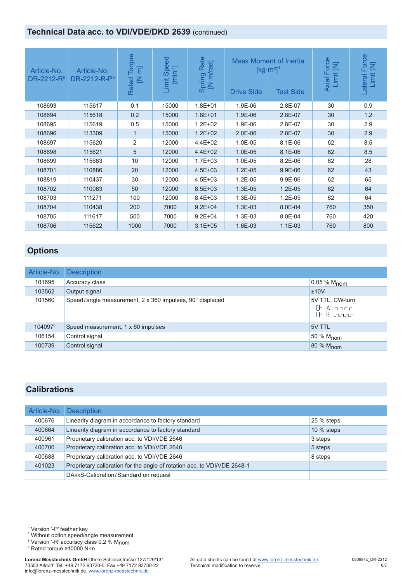# **Technical Data acc. to VDI/VDE/DKD 2639 (continued)**

| Article-No.<br>DR-2212-R <sup>5</sup> | Article-No.<br>$DR-2212-R-P3$ | lorque<br>$[N \cdot m]$<br>Rated | $\overline{6}$<br>Sper<br>$[min-1]$<br>Limit | Rate<br>[N·m/rad]<br>Spring | <b>Drive Side</b> | <b>Mass Moment of Inertia</b><br>$[kg·m2]$ <sup>4</sup><br><b>Test Side</b> | orce<br>Σ<br>Axial F<br><b>Limit</b> | Force<br>Σ<br>Limit<br>Lateral |
|---------------------------------------|-------------------------------|----------------------------------|----------------------------------------------|-----------------------------|-------------------|-----------------------------------------------------------------------------|--------------------------------------|--------------------------------|
| 108693                                | 115617                        | 0.1                              | 15000                                        | $1.8E + 01$                 | 1.9E-06           | 2.8E-07                                                                     | 30                                   | 0.9                            |
| 108694                                | 115618                        | 0.2                              | 15000                                        | $1.8E + 01$                 | 1.9E-06           | 2.8E-07                                                                     | 30                                   | 1.2                            |
| 108695                                | 115619                        | 0.5                              | 15000                                        | $1.2E + 02$                 | 1.9E-06           | 2.8E-07                                                                     | 30                                   | 2.9                            |
| 108696                                | 113309                        | 1                                | 15000                                        | $1.2E + 02$                 | $2.0E-06$         | 2.8E-07                                                                     | 30                                   | 2.9                            |
| 108697                                | 115620                        | 2                                | 12000                                        | $4.4E + 02$                 | 1.0E-05           | 8.1E-06                                                                     | 62                                   | 8.5                            |
| 108698                                | 115621                        | 5                                | 12000                                        | $4.4E + 02$                 | 1.0E-05           | 8.1E-06                                                                     | 62                                   | 8.5                            |
| 108699                                | 115683                        | 10                               | 12000                                        | $1.7E + 03$                 | 1.0E-05           | 8.2E-06                                                                     | 62                                   | 28                             |
| 108701                                | 110886                        | 20                               | 12000                                        | $4.5E + 03$                 | 1.2E-05           | 9.9E-06                                                                     | 62                                   | 43                             |
| 108819                                | 110437                        | 30                               | 12000                                        | $4.5E + 03$                 | 1.2E-05           | 9.9E-06                                                                     | 62                                   | 65                             |
| 108702                                | 110083                        | 50                               | 12000                                        | $8.5E + 03$                 | 1.3E-05           | $1.2E-05$                                                                   | 62                                   | 64                             |
| 108703                                | 111271                        | 100                              | 12000                                        | $8.4E + 03$                 | 1.3E-05           | 1.2E-05                                                                     | 62                                   | 64                             |
| 108704                                | 110438                        | 200                              | 7000                                         | $9.2E + 04$                 | 1.3E-03           | 8.0E-04                                                                     | 760                                  | 350                            |
| 108705                                | 111617                        | 500                              | 7000                                         | $9.2E + 04$                 | 1.3E-03           | 8.0E-04                                                                     | 760                                  | 420                            |
| 108706                                | 115622                        | 1000                             | 7000                                         | $3.1E + 05$                 | 1.6E-03           | $1.1E-03$                                                                   | 760                                  | 800                            |

# **Options**

| Article-No.         | <b>Description</b>                                       |                                                       |
|---------------------|----------------------------------------------------------|-------------------------------------------------------|
| 101695              | Accuracy class                                           | 0.05 % M <sub>nom</sub>                               |
| 103562              | Output signal                                            | ±10V                                                  |
| 101560              | Speed/angle measurement, 2 x 360 impulses, 90° displaced | 5V TTL, CW-turn<br>(H A roor<br>$(H B_{\text{untr}})$ |
| 104097 <sup>6</sup> | Speed measurement, 1 x 60 impulses                       | 5V TTL                                                |
| 106154              | Control signal                                           | 50 % M <sub>nom</sub>                                 |
| 100739              | Control signal                                           | 80 % M <sub>nom</sub>                                 |

#### **Calibrations**

| Article-No. | <b>Description</b>                                                       |              |
|-------------|--------------------------------------------------------------------------|--------------|
| 400676      | Linearity diagram in accordance to factory standard                      | 25 % steps   |
| 400664      | Linearity diagram in accordance to factory standard                      | $10\%$ steps |
| 400961      | Proprietary calibration acc. to VDI/VDE 2646                             | 3 steps      |
| 400700      | Proprietary calibration acc. to VDI/VDE 2646                             | 5 steps      |
| 400688      | Proprietary calibration acc. to VDI/VDE 2646                             | 8 steps      |
| 401023      | Proprietary calibration for the angle of rotation acc. to VDI/VDE 2648-1 |              |
|             | DAkkS-Calibration/Standard on request                                    |              |

<sup>3</sup> Version '-P' feather key<br><sup>4</sup> Without option speed/angle measurement

5 Version '-R' accuracy class 0.2 % Mnom

6 Rated torque ≥10000 N·m